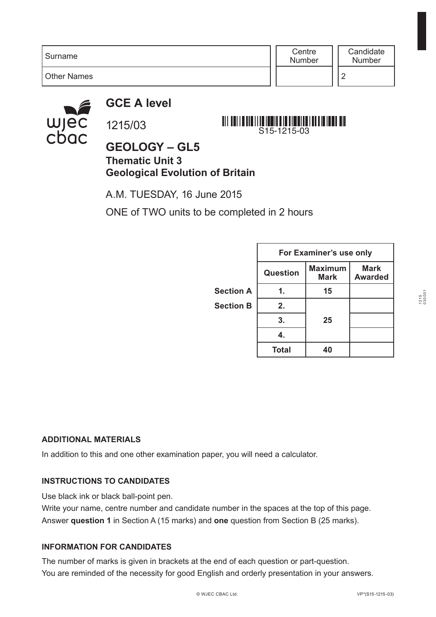Surname

**Centre** Number

Other Names



## **GCE A level**

1215/03



**GEOLOGY – GL5**

**Thematic Unit 3 Geological Evolution of Britain**

A.M. TUESDAY, 16 June 2015

ONE of TWO units to be completed in 2 hours

|                  | For Examiner's use only                                                           |    |  |  |
|------------------|-----------------------------------------------------------------------------------|----|--|--|
|                  | <b>Maximum</b><br><b>Mark</b><br><b>Question</b><br><b>Awarded</b><br><b>Mark</b> |    |  |  |
| <b>Section A</b> | 1.                                                                                | 15 |  |  |
| <b>Section B</b> | 2.                                                                                |    |  |  |
|                  | 3.                                                                                | 25 |  |  |
|                  | 4.                                                                                |    |  |  |
|                  | <b>Total</b>                                                                      | 40 |  |  |

#### **ADDITIONAL MATERIALS**

In addition to this and one other examination paper, you will need a calculator.

#### **INSTRUCTIONS TO CANDIDATES**

Use black ink or black ball-point pen.

Write your name, centre number and candidate number in the spaces at the top of this page. Answer **question 1** in Section A (15 marks) and **one** question from Section B (25 marks).

#### **INFORMATION FOR CANDIDATES**

The number of marks is given in brackets at the end of each question or part-question. You are reminded of the necessity for good English and orderly presentation in your answers.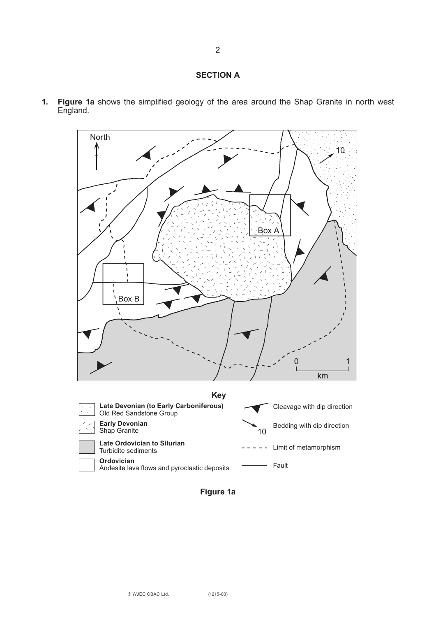#### **SECTION A**

**1. Figure 1a** shows the simplified geology of the area around the Shap Granite in north west England.



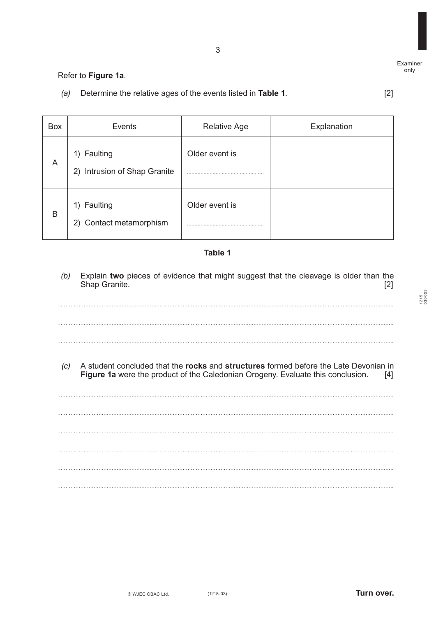### Refer to **Figure 1a**.

*(a)* Determine the relative ages of the events listed in **Table 1**. [2]

| <b>Box</b>     | Events                                      | <b>Relative Age</b> | Explanation |
|----------------|---------------------------------------------|---------------------|-------------|
| $\overline{A}$ | 1) Faulting<br>2) Intrusion of Shap Granite | Older event is      |             |
| B              | 1) Faulting<br>2) Contact metamorphism      | Older event is      |             |

#### **Table 1**

*(b)* Explain **two** pieces of evidence that might suggest that the cleavage is older than the Shap Granite. *(c)* A student concluded that the **rocks** and **structures** formed before the Late Devonian in Figure 1a were the product of the Caledonian Orogeny. Evaluate this conclusion.

1215 030003

Examiner only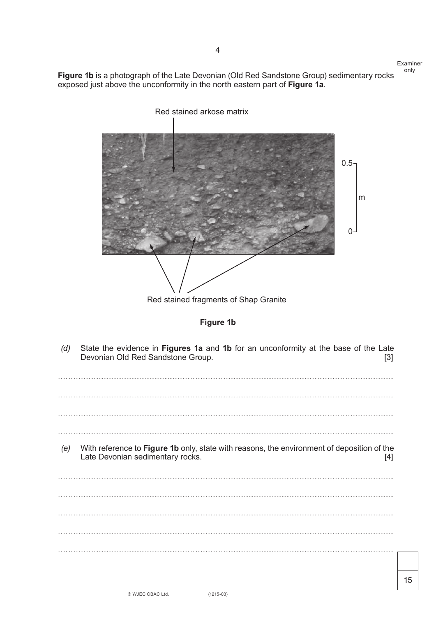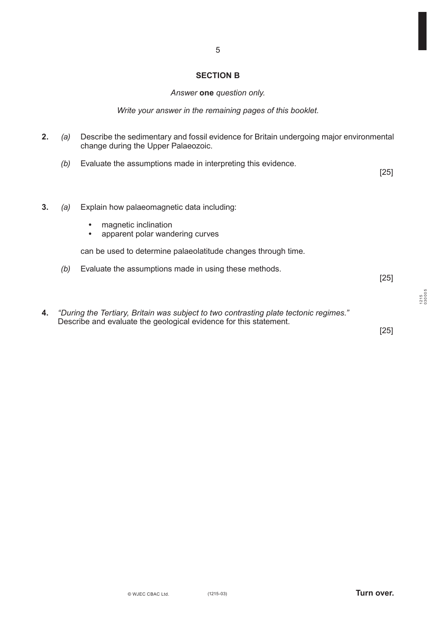#### **SECTION B**

5

#### *Answer* **one** *question only.*

#### *Write your answer in the remaining pages of this booklet.*

- **2.** *(a)* Describe the sedimentary and fossil evidence for Britain undergoing major environmental change during the Upper Palaeozoic.
	- *(b)* Evaluate the assumptions made in interpreting this evidence.

[25]

[25]

- **3.** *(a)* Explain how palaeomagnetic data including:
	- **•** magnetic inclination
	- **•** apparent polar wandering curves

can be used to determine palaeolatitude changes through time.

- *(b)* Evaluate the assumptions made in using these methods.
- **4.** *"During the Tertiary, Britain was subject to two contrasting plate tectonic regimes."* Describe and evaluate the geological evidence for this statement.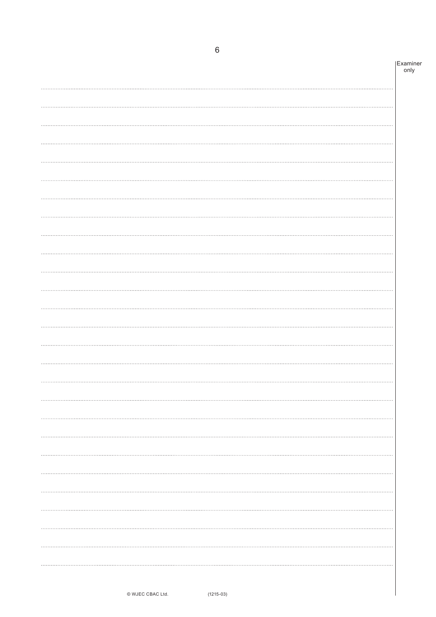| © WJEC CBAC Ltd. |  |
|------------------|--|
|                  |  |

| $(1215-03)$ |  |
|-------------|--|
|-------------|--|

|      | Examiner<br>only |
|------|------------------|
|      |                  |
|      |                  |
|      |                  |
|      |                  |
|      |                  |
|      |                  |
|      |                  |
| <br> |                  |
|      |                  |
|      |                  |
|      |                  |
|      |                  |
|      |                  |
|      |                  |
|      |                  |
|      |                  |
|      |                  |
| .    |                  |
|      |                  |
|      |                  |
|      |                  |
|      |                  |
|      |                  |

 $\overline{\phantom{a}}$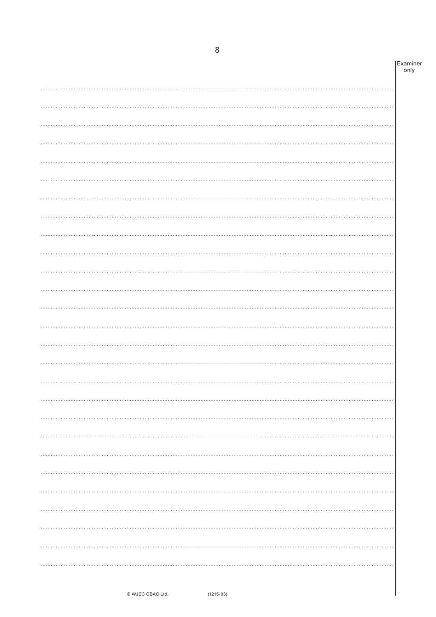| © WJEC CBAC Ltd. |  |
|------------------|--|
|                  |  |

| $(1215-03)$ |  |
|-------------|--|
|-------------|--|

|   | Examiner<br>only |
|---|------------------|
|   |                  |
|   |                  |
|   |                  |
|   |                  |
|   |                  |
|   |                  |
|   |                  |
|   |                  |
|   |                  |
|   |                  |
|   |                  |
|   |                  |
|   |                  |
|   |                  |
|   |                  |
|   |                  |
|   |                  |
|   |                  |
|   |                  |
|   |                  |
|   |                  |
|   |                  |
|   |                  |
|   |                  |
| . |                  |
|   |                  |

 $\overline{\phantom{a}}$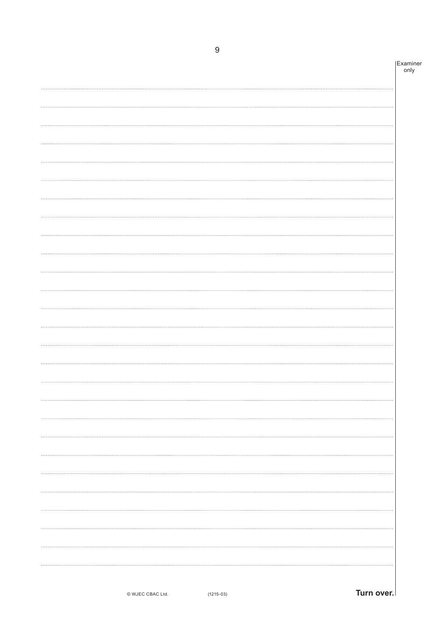|   | Examiner<br>only |
|---|------------------|
|   |                  |
|   |                  |
|   |                  |
|   |                  |
|   |                  |
|   |                  |
|   |                  |
|   |                  |
|   |                  |
|   |                  |
|   |                  |
|   |                  |
|   |                  |
|   |                  |
|   |                  |
|   |                  |
|   |                  |
|   |                  |
|   |                  |
|   |                  |
|   |                  |
|   |                  |
|   |                  |
| . |                  |
|   |                  |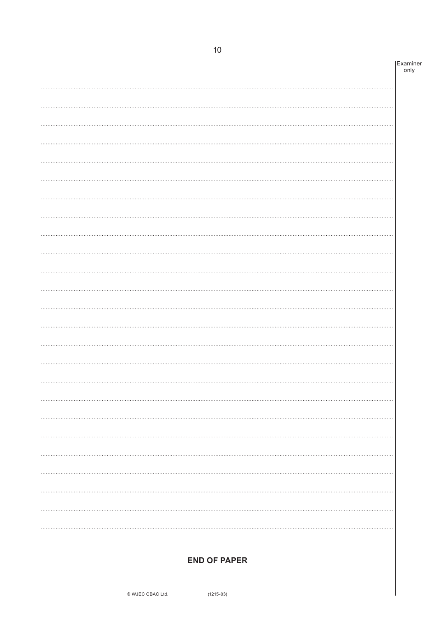|                     | Examiner<br>only |
|---------------------|------------------|
|                     |                  |
|                     |                  |
|                     |                  |
|                     |                  |
|                     |                  |
|                     |                  |
|                     |                  |
|                     |                  |
|                     |                  |
|                     |                  |
|                     |                  |
|                     |                  |
|                     |                  |
|                     |                  |
|                     |                  |
|                     |                  |
|                     |                  |
|                     |                  |
|                     |                  |
|                     |                  |
|                     |                  |
|                     |                  |
|                     |                  |
|                     |                  |
| <b>END OF PAPER</b> |                  |

© WJEC CBAC Ltd.

(1215-03)